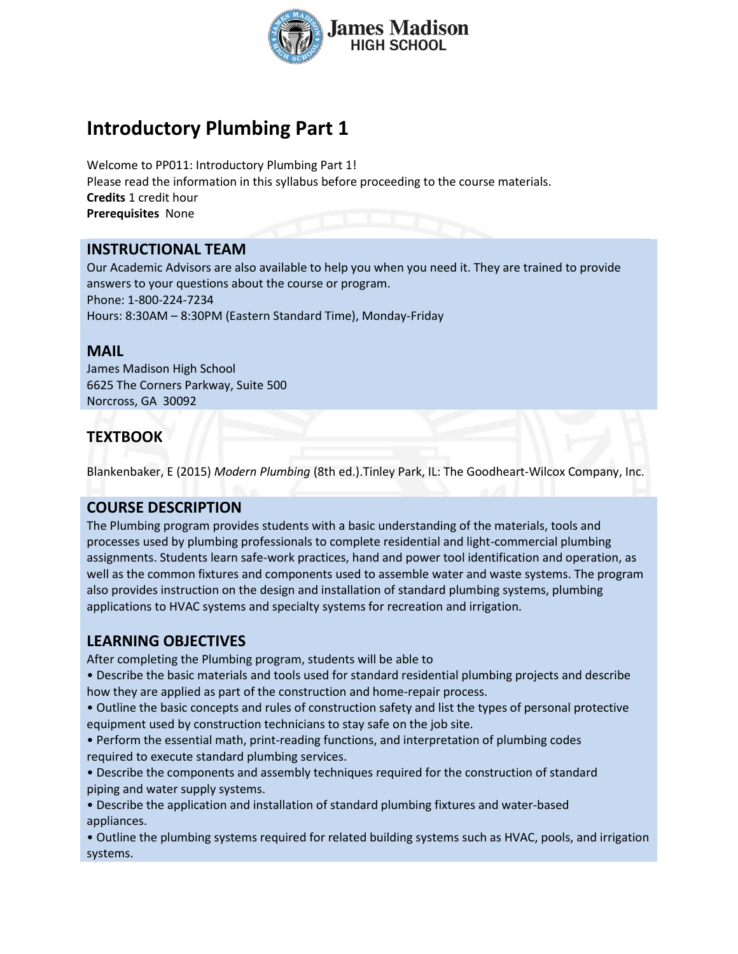

# **Introductory Plumbing Part 1**

Welcome to PP011: Introductory Plumbing Part 1! Please read the information in this syllabus before proceeding to the course materials. **Credits** 1 credit hour **Prerequisites** None

## **INSTRUCTIONAL TEAM**

Our Academic Advisors are also available to help you when you need it. They are trained to provide answers to your questions about the course or program. Phone: 1-800-224-7234 Hours: 8:30AM – 8:30PM (Eastern Standard Time), Monday-Friday

## **MAIL**

James Madison High School 6625 The Corners Parkway, Suite 500 Norcross, GA 30092

## **TEXTBOOK**

Blankenbaker, E (2015) *Modern Plumbing* (8th ed.).Tinley Park, IL: The Goodheart-Wilcox Company, Inc.

## **COURSE DESCRIPTION**

The Plumbing program provides students with a basic understanding of the materials, tools and processes used by plumbing professionals to complete residential and light-commercial plumbing assignments. Students learn safe-work practices, hand and power tool identification and operation, as well as the common fixtures and components used to assemble water and waste systems. The program also provides instruction on the design and installation of standard plumbing systems, plumbing applications to HVAC systems and specialty systems for recreation and irrigation.

## **LEARNING OBJECTIVES**

After completing the Plumbing program, students will be able to

• Describe the basic materials and tools used for standard residential plumbing projects and describe how they are applied as part of the construction and home-repair process.

• Outline the basic concepts and rules of construction safety and list the types of personal protective equipment used by construction technicians to stay safe on the job site.

• Perform the essential math, print-reading functions, and interpretation of plumbing codes required to execute standard plumbing services.

• Describe the components and assembly techniques required for the construction of standard piping and water supply systems.

• Describe the application and installation of standard plumbing fixtures and water-based appliances.

• Outline the plumbing systems required for related building systems such as HVAC, pools, and irrigation systems.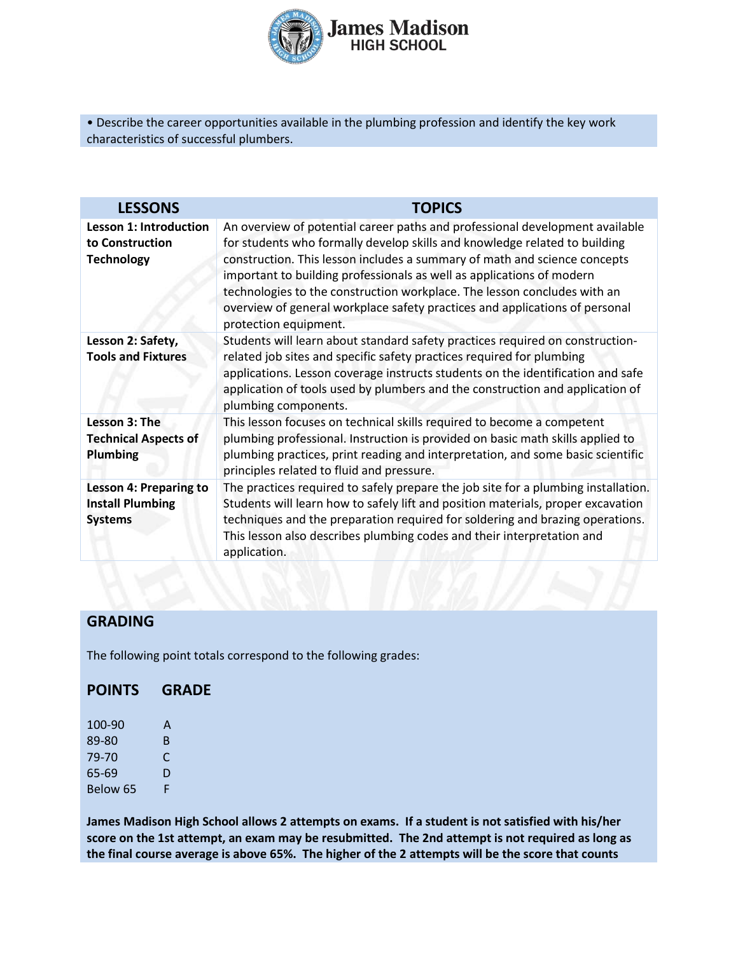

• Describe the career opportunities available in the plumbing profession and identify the key work characteristics of successful plumbers.

| <b>LESSONS</b>                                                             | <b>TOPICS</b>                                                                                                                                                                                                                                                                                                                                                                                                                                                                                        |
|----------------------------------------------------------------------------|------------------------------------------------------------------------------------------------------------------------------------------------------------------------------------------------------------------------------------------------------------------------------------------------------------------------------------------------------------------------------------------------------------------------------------------------------------------------------------------------------|
| <b>Lesson 1: Introduction</b><br>to Construction<br><b>Technology</b>      | An overview of potential career paths and professional development available<br>for students who formally develop skills and knowledge related to building<br>construction. This lesson includes a summary of math and science concepts<br>important to building professionals as well as applications of modern<br>technologies to the construction workplace. The lesson concludes with an<br>overview of general workplace safety practices and applications of personal<br>protection equipment. |
| Lesson 2: Safety,<br><b>Tools and Fixtures</b>                             | Students will learn about standard safety practices required on construction-<br>related job sites and specific safety practices required for plumbing<br>applications. Lesson coverage instructs students on the identification and safe<br>application of tools used by plumbers and the construction and application of<br>plumbing components.                                                                                                                                                   |
| Lesson 3: The<br><b>Technical Aspects of</b><br><b>Plumbing</b>            | This lesson focuses on technical skills required to become a competent<br>plumbing professional. Instruction is provided on basic math skills applied to<br>plumbing practices, print reading and interpretation, and some basic scientific<br>principles related to fluid and pressure.                                                                                                                                                                                                             |
| <b>Lesson 4: Preparing to</b><br><b>Install Plumbing</b><br><b>Systems</b> | The practices required to safely prepare the job site for a plumbing installation.<br>Students will learn how to safely lift and position materials, proper excavation<br>techniques and the preparation required for soldering and brazing operations.<br>This lesson also describes plumbing codes and their interpretation and<br>application.                                                                                                                                                    |

## **GRADING**

The following point totals correspond to the following grades:

### **POINTS GRADE**

100-90 A 89-80 B 79-70 C 65-69 D Below 65 F

**James Madison High School allows 2 attempts on exams. If a student is not satisfied with his/her score on the 1st attempt, an exam may be resubmitted. The 2nd attempt is not required as long as the final course average is above 65%. The higher of the 2 attempts will be the score that counts**